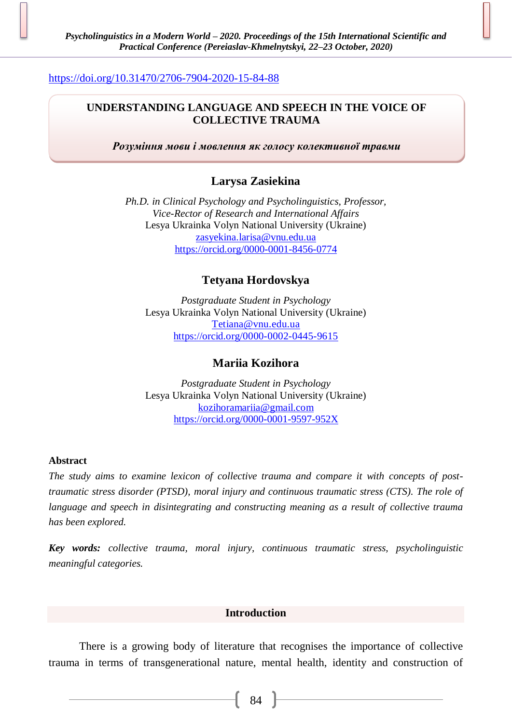## <https://doi.org/10.31470/2706-7904-2020-15-84-88>

## **UNDERSTANDING LANGUAGE AND SPEECH IN THE VOICE OF COLLECTIVE TRAUMA**

*Розуміння мови і мовлення як голосу колективної травми*

# **Larysa Zasiekina**

*Ph.D. in Clinical Psychology and Psycholinguistics, Professor, Vice-Rector of Research and International Affairs* Lesya Ukrainka Volyn National University (Ukraine) [zasyekina.larisa@vnu.edu.ua](mailto:zasyekina.larisa@vnu.edu.ua) <https://orcid.org/0000-0001-8456-0774>

## **Tetyana Hordovskya**

*Postgraduate Student in Psychology* Lesya Ukrainka Volyn National University (Ukraine) [Tetiana@vnu.edu.ua](mailto:Tetiana@vnu.edu.ua) <https://orcid.org/0000-0002-0445-9615>

### **Mariia Kozihora**

*Postgraduate Student in Psychology* Lesya Ukrainka Volyn National University (Ukraine) [kozihoramariia@gmail.com](mailto:kozihoramariia@gmail.com) <https://orcid.org/0000-0001-9597-952X>

### **Abstract**

*The study aims to examine lexicon of collective trauma and compare it with concepts of posttraumatic stress disorder (PTSD), moral injury and continuous traumatic stress (CTS). The role of language and speech in disintegrating and constructing meaning as a result of collective trauma has been explored.*

*Key words: collective trauma, moral injury, continuous traumatic stress, psycholinguistic meaningful categories.*

### **Introduction**

There is a growing body of literature that recognises the importance of collective trauma in terms of transgenerational nature, mental health, identity and construction of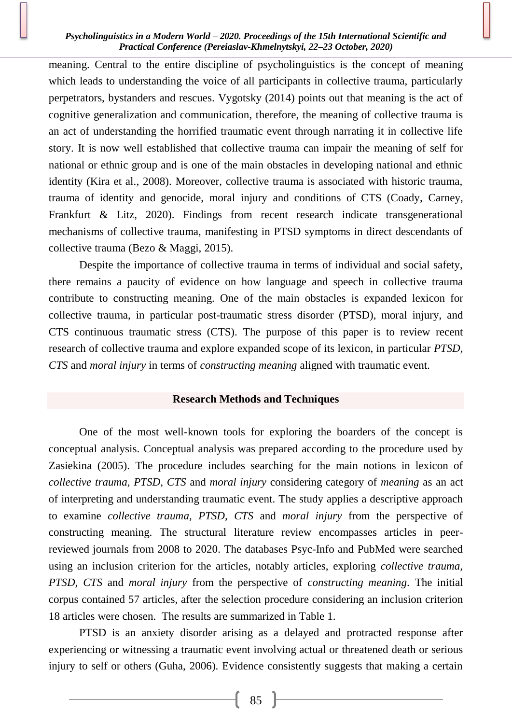meaning. Central to the entire discipline of psycholinguistics is the concept of meaning which leads to understanding the voice of all participants in collective trauma, particularly perpetrators, bystanders and rescues. Vygotsky (2014) points out that meaning is the act of cognitive generalization and communication, therefore, the meaning of collective trauma is an act of understanding the horrified traumatic event through narrating it in collective life story. It is now well established that collective trauma can impair the meaning of self for national or ethnic group and is one of the main obstacles in developing national and ethnic identity (Kira et al., 2008). Moreover, collective trauma is associated with historic trauma, trauma of identity and genocide, moral injury and conditions of CTS (Coady, Carney, Frankfurt & Litz, 2020). Findings from recent research indicate transgenerational mechanisms of collective trauma, manifesting in PTSD symptoms in direct descendants of collective trauma (Bezo & Maggi, 2015).

Despite the importance of collective trauma in terms of individual and social safety, there remains a paucity of evidence on how language and speech in collective trauma contribute to constructing meaning. One of the main obstacles is expanded lexicon for collective trauma, in particular post-traumatic stress disorder (PTSD), moral injury, and CTS continuous traumatic stress (CTS). The purpose of this paper is to review recent research of collective trauma and explore expanded scope of its lexicon, in particular *PTSD, CTS* and *moral injury* in terms of *constructing meaning* aligned with traumatic event.

### **Research Methods and Techniques**

One of the most well-known tools for exploring the boarders of the concept is conceptual analysis. Conceptual analysis was prepared according to the procedure used by Zasiekina (2005). The procedure includes searching for the main notions in lexicon of *collective trauma, PTSD, CTS* and *moral injury* considering category of *meaning* as an act of interpreting and understanding traumatic event. The study applies a descriptive approach to examine *collective trauma, PTSD, CTS* and *moral injury* from the perspective of constructing meaning. The structural literature review encompasses articles in peerreviewed journals from 2008 to 2020. The databases Psyc-Info and PubMed were searched using an inclusion criterion for the articles, notably articles, exploring *collective trauma, PTSD, CTS* and *moral injury* from the perspective of *constructing meaning*. The initial corpus contained 57 articles, after the selection procedure considering an inclusion criterion 18 articles were chosen. The results are summarized in Table 1.

PTSD is an anxiety disorder arising as a delayed and protracted response after experiencing or witnessing a traumatic event involving actual or threatened death or serious injury to self or others (Guha, 2006). Evidence consistently suggests that making a certain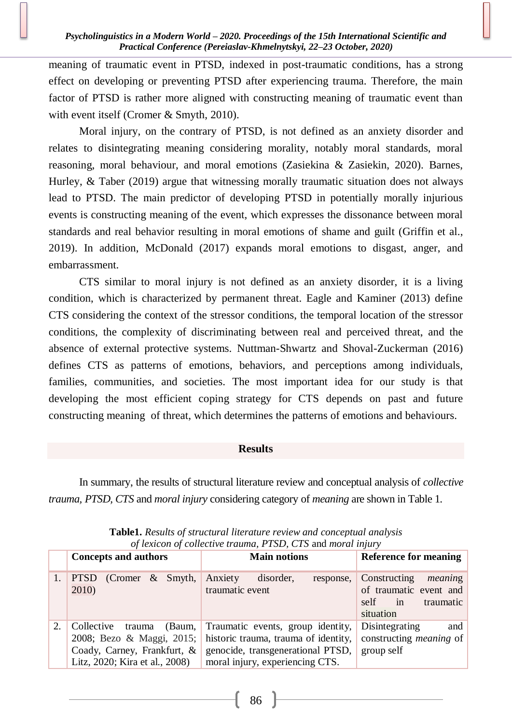meaning of traumatic event in PTSD, indexed in post-traumatic conditions, has a strong effect on developing or preventing PTSD after experiencing trauma. Therefore, the main factor of PTSD is rather more aligned with constructing meaning of traumatic event than with event itself (Cromer & Smyth, 2010).

Moral injury, on the contrary of PTSD, is not defined as an anxiety disorder and relates to disintegrating meaning considering morality, notably moral standards, moral reasoning, moral behaviour, and moral emotions (Zasiekina & Zasiekin, 2020). Barnes, Hurley, & Taber (2019) argue that witnessing morally traumatic situation does not always lead to PTSD. The main predictor of developing PTSD in potentially morally injurious events is constructing meaning of the event, which expresses the dissonance between moral standards and real behavior resulting in moral emotions of shame and guilt (Griffin et al., 2019). In addition, McDonald (2017) expands moral emotions to disgast, anger, and embarrassment.

CTS similar to moral injury is not defined as an anxiety disorder, it is a living condition, which is characterized by permanent threat. Eagle and Kaminer (2013) define CTS considering the context of the stressor conditions, the temporal location of the stressor conditions, the complexity of discriminating between real and perceived threat, and the absence of external protective systems. Nuttman-Shwartz and Shoval-Zuckerman (2016) defines CTS as patterns of emotions, behaviors, and perceptions among individuals, families, communities, and societies. The most important idea for our study is that developing the most efficient coping strategy for CTS depends on past and future constructing meaning of threat, which determines the patterns of emotions and behaviours.

#### **Results**

In summary, the results of structural literature review and conceptual analysis of *collective trauma, PTSD, CTS* and *moral injury* considering category of *meaning* are shown in Table 1.

|    | <b>Concepts and authors</b>                                                                                               | <b>Main notions</b>                                                                                                                                              | <b>Reference for meaning</b>                                                              |
|----|---------------------------------------------------------------------------------------------------------------------------|------------------------------------------------------------------------------------------------------------------------------------------------------------------|-------------------------------------------------------------------------------------------|
|    | <b>PTSD</b><br>(Cromer $\&$ Smyth,<br>2010)                                                                               | Anxiety disorder,<br>response,<br>traumatic event                                                                                                                | Constructing<br>meaning<br>of traumatic event and<br>self<br>in<br>traumatic<br>situation |
| 2. | Collective<br>trauma (Baum,<br>2008; Bezo & Maggi, 2015;<br>Coady, Carney, Frankfurt, &<br>Litz, 2020; Kira et al., 2008) | Traumatic events, group identity, Disintegrating<br>historic trauma, trauma of identity,<br>genocide, transgenerational PTSD,<br>moral injury, experiencing CTS. | and<br>constructing <i>meaning</i> of<br>group self                                       |

**Table1.** *Results of structural literature review and conceptual analysis of lexicon of collective trauma, PTSD, CTS* and *moral injury*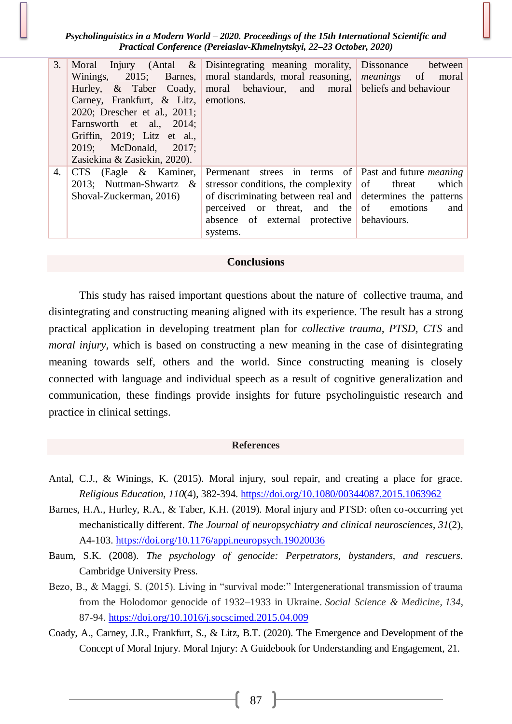| 3. | Carney, Frankfurt, $\&$ Litz, emotions.<br>2020; Drescher et al., 2011;<br>Farnsworth et al., 2014;<br>Griffin, 2019; Litz et al.,<br>2019; McDonald, 2017;<br>Zasiekina & Zasiekin, 2020). | Moral Injury (Antal & Disintegrating meaning morality, Dissonance between<br>Winings, 2015; Barnes, moral standards, moral reasoning, <i>meanings</i> of moral<br>Hurley, & Taber Coady, moral behaviour, and moral beliefs and behaviour                                                                |              |
|----|---------------------------------------------------------------------------------------------------------------------------------------------------------------------------------------------|----------------------------------------------------------------------------------------------------------------------------------------------------------------------------------------------------------------------------------------------------------------------------------------------------------|--------------|
| 4. | CTS (Eagle & Kaminer,<br>Shoval-Zuckerman, 2016)                                                                                                                                            | Permenant strees in terms of Past and future <i>meaning</i><br>2013; Nuttman-Shwartz & stressor conditions, the complexity of threat<br>of discriminating between real and determines the patterns<br>perceived or threat, and the of emotions<br>absence of external protective behaviours.<br>systems. | which<br>and |

#### **Conclusions**

This study has raised important questions about the nature of collective trauma, and disintegrating and constructing meaning aligned with its experience. The result has a strong practical application in developing treatment plan for *collective trauma, PTSD, CTS* and *moral injury*, which is based on constructing a new meaning in the case of disintegrating meaning towards self, others and the world. Since constructing meaning is closely connected with language and individual speech as a result of cognitive generalization and communication, these findings provide insights for future psycholinguistic research and practice in clinical settings.

#### **References**

- Antal, C.J., & Winings, K. (2015). Moral injury, soul repair, and creating a place for grace. *Religious Education*, *110*(4), 382-394. <https://doi.org/10.1080/00344087.2015.1063962>
- Barnes, H.A., Hurley, R.A., & Taber, K.H. (2019). Moral injury and PTSD: often co-occurring yet mechanistically different. *The Journal of neuropsychiatry and clinical neurosciences*, *31*(2), A4-103. <https://doi.org/10.1176/appi.neuropsych.19020036>
- Baum, S.K. (2008). *The psychology of genocide: Perpetrators, bystanders, and rescuers*. Cambridge University Press.
- Bezo, B., & Maggi, S. (2015). Living in "survival mode:" Intergenerational transmission of trauma from the Holodomor genocide of 1932–1933 in Ukraine. *Social Science & Medicine*, *134*, 87-94. <https://doi.org/10.1016/j.socscimed.2015.04.009>
- Coady, A., Carney, J.R., Frankfurt, S., & Litz, B.T. (2020). The Emergence and Development of the Concept of Moral Injury. Moral Injury: A Guidebook for Understanding and Engagement, 21.